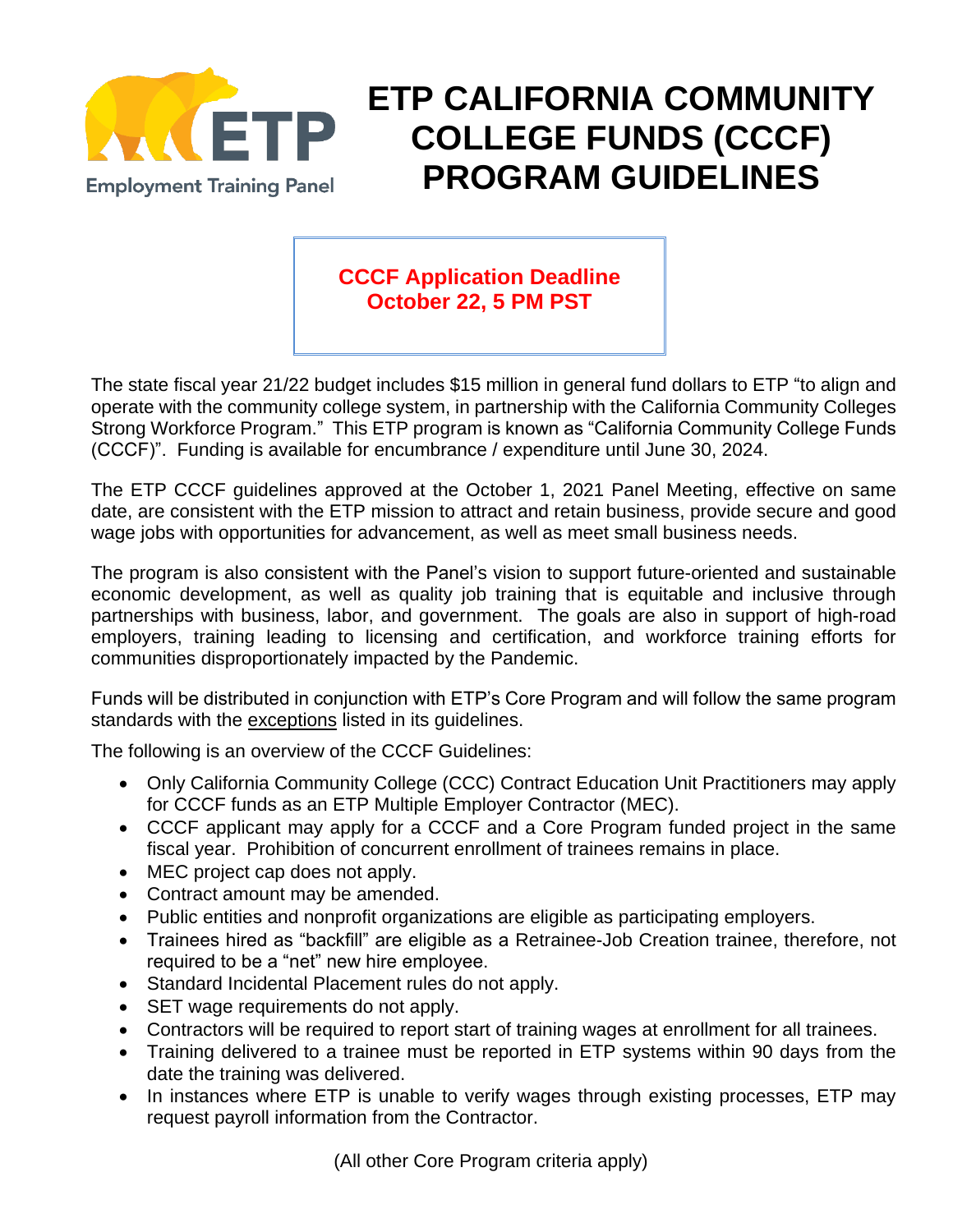

## **ETP CALIFORNIA COMMUNITY COLLEGE FUNDS (CCCF) PROGRAM GUIDELINES**

## **CCCF Application Deadline October 22, 5 PM PST**

The state fiscal year 21/22 budget includes \$15 million in general fund dollars to ETP "to align and operate with the community college system, in partnership with the California Community Colleges Strong Workforce Program." This ETP program is known as "California Community College Funds (CCCF)". Funding is available for encumbrance / expenditure until June 30, 2024.

The ETP CCCF guidelines approved at the October 1, 2021 Panel Meeting, effective on same date, are consistent with the ETP mission to attract and retain business, provide secure and good wage jobs with opportunities for advancement, as well as meet small business needs.

The program is also consistent with the Panel's vision to support future-oriented and sustainable economic development, as well as quality job training that is equitable and inclusive through partnerships with business, labor, and government. The goals are also in support of high-road employers, training leading to licensing and certification, and workforce training efforts for communities disproportionately impacted by the Pandemic.

Funds will be distributed in conjunction with ETP's Core Program and will follow the same program standards with the exceptions listed in its guidelines.

The following is an overview of the CCCF Guidelines:

- Only California Community College (CCC) Contract Education Unit Practitioners may apply for CCCF funds as an ETP Multiple Employer Contractor (MEC).
- CCCF applicant may apply for a CCCF and a Core Program funded project in the same fiscal year. Prohibition of concurrent enrollment of trainees remains in place.
- MEC project cap does not apply.
- Contract amount may be amended.
- Public entities and nonprofit organizations are eligible as participating employers.
- Trainees hired as "backfill" are eligible as a Retrainee-Job Creation trainee, therefore, not required to be a "net" new hire employee.
- Standard Incidental Placement rules do not apply.
- SET wage requirements do not apply.
- Contractors will be required to report start of training wages at enrollment for all trainees.
- Training delivered to a trainee must be reported in ETP systems within 90 days from the date the training was delivered.
- In instances where ETP is unable to verify wages through existing processes, ETP may request payroll information from the Contractor.

(All other Core Program criteria apply)